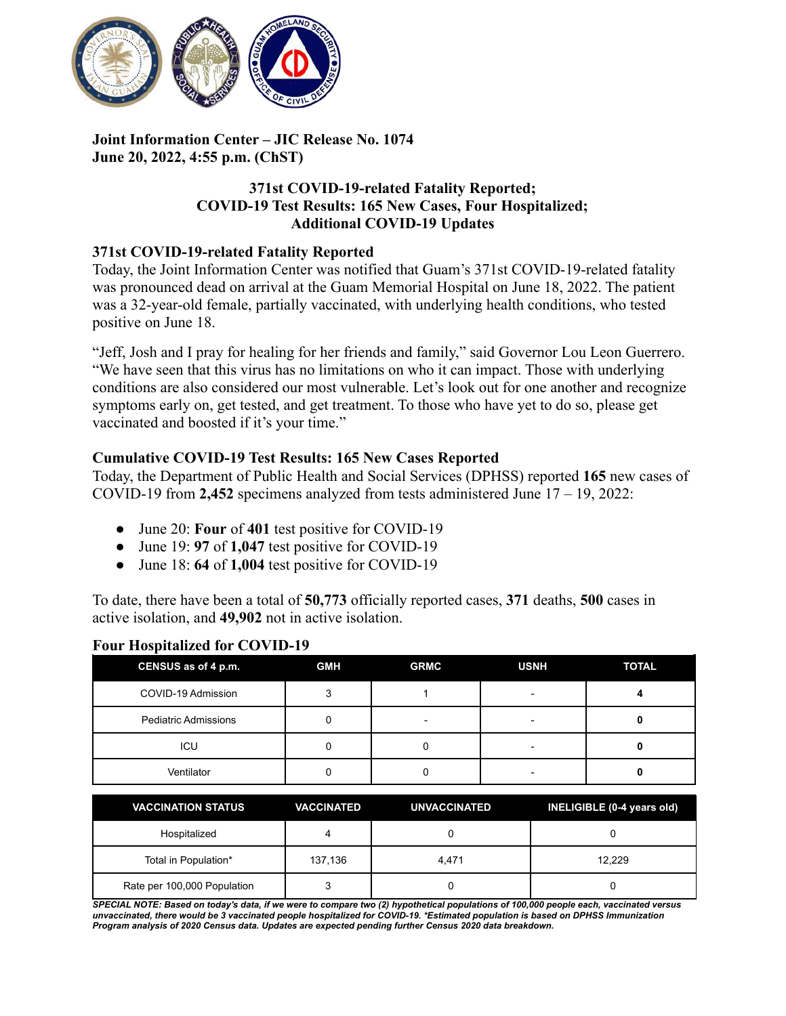

## **Joint Information Center – JIC Release No. 1074 June 20, 2022, 4:55 p.m. (ChST)**

## **371st COVID-19-related Fatality Reported; COVID-19 Test Results: 165 New Cases, Four Hospitalized; Additional COVID-19 Updates**

### **371st COVID-19-related Fatality Reported**

Today, the Joint Information Center was notified that Guam's 371st COVID-19-related fatality was pronounced dead on arrival at the Guam Memorial Hospital on June 18, 2022. The patient was a 32-year-old female, partially vaccinated, with underlying health conditions, who tested positive on June 18.

"Jeff, Josh and I pray for healing for her friends and family," said Governor Lou Leon Guerrero. "We have seen that this virus has no limitations on who it can impact. Those with underlying conditions are also considered our most vulnerable. Let's look out for one another and recognize symptoms early on, get tested, and get treatment. To those who have yet to do so, please get vaccinated and boosted if it's your time."

# **Cumulative COVID-19 Test Results: 165 New Cases Reported**

Today, the Department of Public Health and Social Services (DPHSS) reported **165** new cases of COVID-19 from **2,452** specimens analyzed from tests administered June 17 – 19, 2022:

- June 20: **Four** of **401** test positive for COVID-19
- June 19: **97** of **1,047** test positive for COVID-19
- June 18: **64** of **1,004** test positive for COVID-19

To date, there have been a total of **50,773** officially reported cases, **371** deaths, **500** cases in active isolation, and **49,902** not in active isolation.

| CENSUS as of 4 p.m.         | <b>GMH</b> | <b>GRMC</b> | <b>USNH</b> | <b>TOTAL</b> |
|-----------------------------|------------|-------------|-------------|--------------|
| COVID-19 Admission          |            |             |             |              |
| <b>Pediatric Admissions</b> |            | -           |             |              |
| ICU                         |            |             |             |              |
| Ventilator                  |            |             |             |              |

### **Four Hospitalized for COVID-19**

| <b>VACCINATION STATUS</b>   | <b>VACCINATED</b> | UNVACCINATED | INELIGIBLE (0-4 years old) |
|-----------------------------|-------------------|--------------|----------------------------|
| Hospitalized                |                   |              |                            |
| Total in Population*        | 137.136           | 4.471        | 12.229                     |
| Rate per 100,000 Population |                   |              |                            |

SPECIAL NOTE: Based on today's data, if we were to compare two (2) hypothetical populations of 100,000 people each, vaccinated versus unvaccinated, there would be 3 vaccinated people hospitalized for COVID-19. \*Estimated population is based on DPHSS Immunization *Program analysis of 2020 Census data. Updates are expected pending further Census 2020 data breakdown.*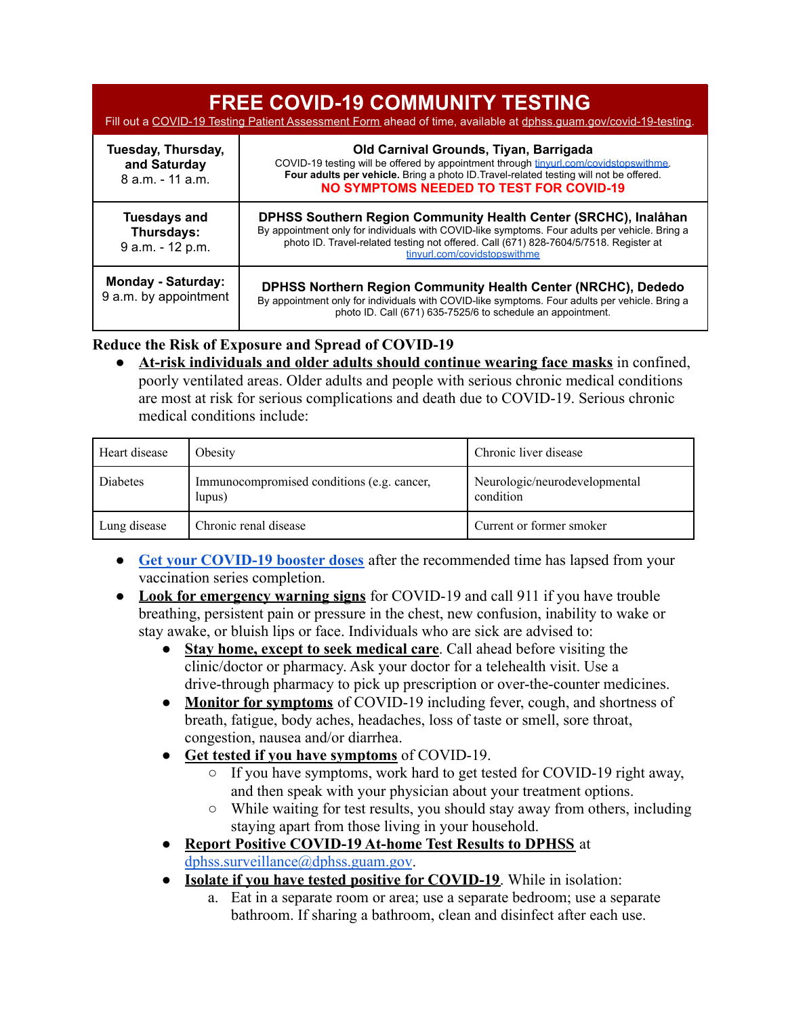| <b>FREE COVID-19 COMMUNITY TESTING</b><br>Fill out a COVID-19 Testing Patient Assessment Form ahead of time, available at dphss.quam.gov/covid-19-testing. |                                                                                                                                                                                                                                                                                            |  |
|------------------------------------------------------------------------------------------------------------------------------------------------------------|--------------------------------------------------------------------------------------------------------------------------------------------------------------------------------------------------------------------------------------------------------------------------------------------|--|
| Tuesday, Thursday,<br>and Saturday<br>8 a.m. - 11 a.m.                                                                                                     | Old Carnival Grounds, Tiyan, Barrigada<br>COVID-19 testing will be offered by appointment through tinyurl.com/covidstopswithme.<br>Four adults per vehicle. Bring a photo ID. Travel-related testing will not be offered.<br><b>NO SYMPTOMS NEEDED TO TEST FOR COVID-19</b>                |  |
| <b>Tuesdays and</b><br>Thursdays:<br>9 a.m. - 12 p.m.                                                                                                      | DPHSS Southern Region Community Health Center (SRCHC), Inalahan<br>By appointment only for individuals with COVID-like symptoms. Four adults per vehicle. Bring a<br>photo ID. Travel-related testing not offered. Call (671) 828-7604/5/7518. Register at<br>tinvurl.com/covidstopswithme |  |
| <b>Monday - Saturday:</b><br>9 a.m. by appointment                                                                                                         | <b>DPHSS Northern Region Community Health Center (NRCHC), Dededo</b><br>By appointment only for individuals with COVID-like symptoms. Four adults per vehicle. Bring a<br>photo ID. Call (671) 635-7525/6 to schedule an appointment.                                                      |  |

# **Reduce the Risk of Exposure and Spread of COVID-19**

At-risk individuals and older adults should continue wearing face masks in confined, poorly ventilated areas. Older adults and people with serious chronic medical conditions are most at risk for serious complications and death due to COVID-19. Serious chronic medical conditions include:

| Heart disease | Obesity                                              | Chronic liver disease                      |
|---------------|------------------------------------------------------|--------------------------------------------|
| Diabetes      | Immunocompromised conditions (e.g. cancer,<br>lupus) | Neurologic/neurodevelopmental<br>condition |
| Lung disease  | Chronic renal disease                                | Current or former smoker                   |

- **[Get your COVID-19 booster doses](http://cdc.gov/coronavirus/2019-ncov/vaccines/booster-shot.html)** after the recommended time has lapsed from your vaccination series completion.
- **Look for emergency warning signs** for COVID-19 and call 911 if you have trouble breathing, persistent pain or pressure in the chest, new confusion, inability to wake or stay awake, or bluish lips or face. Individuals who are sick are advised to:
	- **Stay home, except to seek medical care**. Call ahead before visiting the clinic/doctor or pharmacy. Ask your doctor for a telehealth visit. Use a drive-through pharmacy to pick up prescription or over-the-counter medicines.
	- **Monitor for symptoms** of COVID-19 including fever, cough, and shortness of breath, fatigue, body aches, headaches, loss of taste or smell, sore throat, congestion, nausea and/or diarrhea.
	- **Get tested if you have symptoms** of COVID-19.
		- If you have symptoms, work hard to get tested for COVID-19 right away, and then speak with your physician about your treatment options.
		- While waiting for test results, you should stay away from others, including staying apart from those living in your household.
	- **Report Positive COVID-19 At-home Test Results to DPHSS** at [dphss.surveillance@dphss.guam.gov](mailto:dphss.surveillance@dphss.guam.gov).
	- **Isolate if you have tested positive for COVID-19**. While in isolation:
		- a. Eat in a separate room or area; use a separate bedroom; use a separate bathroom. If sharing a bathroom, clean and disinfect after each use.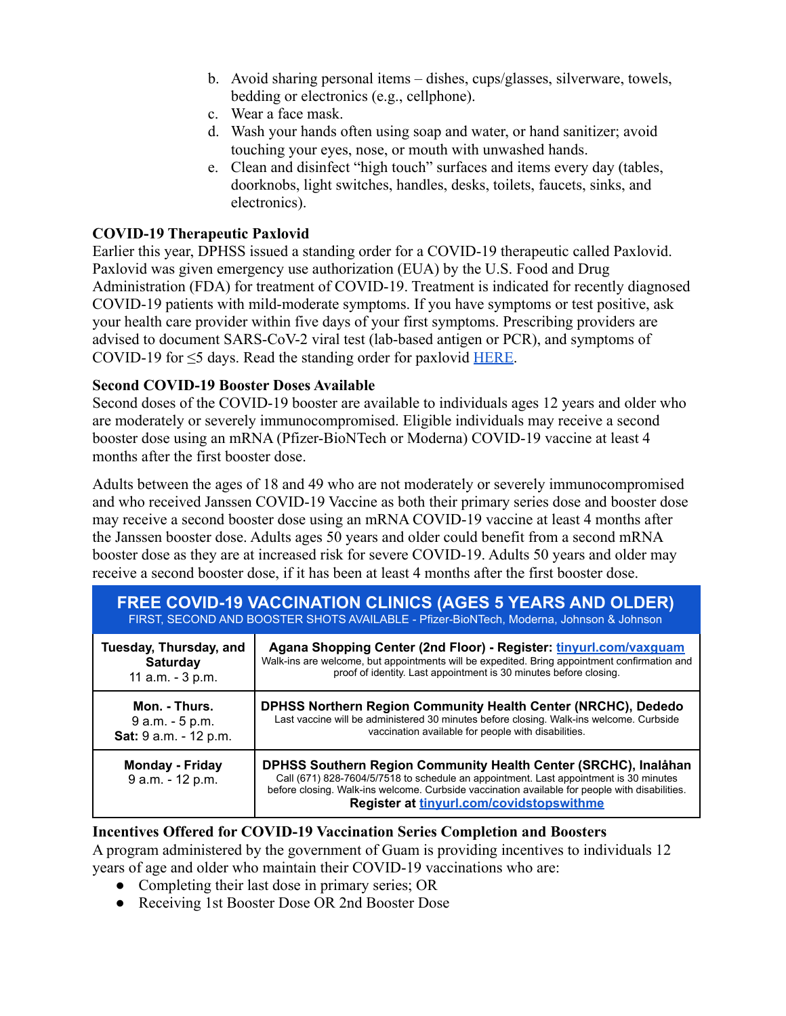- b. Avoid sharing personal items dishes, cups/glasses, silverware, towels, bedding or electronics (e.g., cellphone).
- c. Wear a face mask.
- d. Wash your hands often using soap and water, or hand sanitizer; avoid touching your eyes, nose, or mouth with unwashed hands.
- e. Clean and disinfect "high touch" surfaces and items every day (tables, doorknobs, light switches, handles, desks, toilets, faucets, sinks, and electronics).

## **COVID-19 Therapeutic Paxlovid**

Earlier this year, DPHSS issued a standing order for a COVID-19 therapeutic called Paxlovid. Paxlovid was given emergency use authorization (EUA) by the U.S. Food and Drug Administration (FDA) for treatment of COVID-19. Treatment is indicated for recently diagnosed COVID-19 patients with mild-moderate symptoms. If you have symptoms or test positive, ask your health care provider within five days of your first symptoms. Prescribing providers are advised to document SARS-CoV-2 viral test (lab-based antigen or PCR), and symptoms of COVID-19 for  $\leq$ 5 days. Read the standing order for paxlovid [HERE](https://dphss.guam.gov/wp-content/uploads/2022/02/Standing-Order-of-Paxlovid-signed-dated-48pg-1.pdf).

### **Second COVID-19 Booster Doses Available**

Second doses of the COVID-19 booster are available to individuals ages 12 years and older who are moderately or severely immunocompromised. Eligible individuals may receive a second booster dose using an mRNA (Pfizer-BioNTech or Moderna) COVID-19 vaccine at least 4 months after the first booster dose.

Adults between the ages of 18 and 49 who are not moderately or severely immunocompromised and who received Janssen COVID-19 Vaccine as both their primary series dose and booster dose may receive a second booster dose using an mRNA COVID-19 vaccine at least 4 months after the Janssen booster dose. Adults ages 50 years and older could benefit from a second mRNA booster dose as they are at increased risk for severe COVID-19. Adults 50 years and older may receive a second booster dose, if it has been at least 4 months after the first booster dose.

| <b>FREE COVID-19 VACCINATION CLINICS (AGES 5 YEARS AND OLDER)</b><br>FIRST, SECOND AND BOOSTER SHOTS AVAILABLE - Pfizer-BioNTech, Moderna, Johnson & Johnson |                                                                                                                                                                                                                                                                                                        |  |
|--------------------------------------------------------------------------------------------------------------------------------------------------------------|--------------------------------------------------------------------------------------------------------------------------------------------------------------------------------------------------------------------------------------------------------------------------------------------------------|--|
| Tuesday, Thursday, and                                                                                                                                       | Agana Shopping Center (2nd Floor) - Register: tinyurl.com/vaxquam                                                                                                                                                                                                                                      |  |
| <b>Saturday</b>                                                                                                                                              | Walk-ins are welcome, but appointments will be expedited. Bring appointment confirmation and                                                                                                                                                                                                           |  |
| 11 a.m. - 3 p.m.                                                                                                                                             | proof of identity. Last appointment is 30 minutes before closing.                                                                                                                                                                                                                                      |  |
| Mon. - Thurs.                                                                                                                                                | <b>DPHSS Northern Region Community Health Center (NRCHC), Dededo</b>                                                                                                                                                                                                                                   |  |
| 9 a.m. - 5 p.m.                                                                                                                                              | Last vaccine will be administered 30 minutes before closing. Walk-ins welcome. Curbside                                                                                                                                                                                                                |  |
| Sat: 9 a.m. - 12 p.m.                                                                                                                                        | vaccination available for people with disabilities.                                                                                                                                                                                                                                                    |  |
| <b>Monday - Friday</b><br>9 a.m. - 12 p.m.                                                                                                                   | DPHSS Southern Region Community Health Center (SRCHC), Inalåhan<br>Call (671) 828-7604/5/7518 to schedule an appointment. Last appointment is 30 minutes<br>before closing. Walk-ins welcome. Curbside vaccination available for people with disabilities.<br>Register at tinyurl.com/covidstopswithme |  |

**Incentives Offered for COVID-19 Vaccination Series Completion and Boosters** A program administered by the government of Guam is providing incentives to individuals 12 years of age and older who maintain their COVID-19 vaccinations who are:

- Completing their last dose in primary series; OR
- Receiving 1st Booster Dose OR 2nd Booster Dose